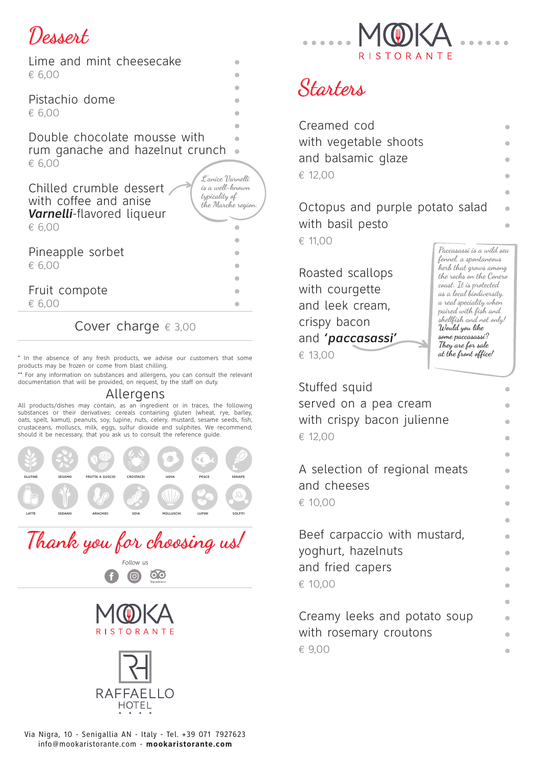# lessert

| Lime and mint cheesecake<br>€ 6,00                                                                                                                                           |  |
|------------------------------------------------------------------------------------------------------------------------------------------------------------------------------|--|
| Pistachio dome<br>€ 6,00                                                                                                                                                     |  |
| Double chocolate mousse with<br>rum qanache and hazelnut crunch<br>€ 6,00                                                                                                    |  |
| L'anice Varnelli<br>is a well-known<br>Chilled crumble dessert<br>typicality of<br>with coffee and anise<br>the Marche region.<br><b>Varnelli-flavored liqueur</b><br>€ 6,00 |  |
|                                                                                                                                                                              |  |
| Pineapple sorbet<br>€ 6,00                                                                                                                                                   |  |
| Fruit compote                                                                                                                                                                |  |
| € 6,00                                                                                                                                                                       |  |
|                                                                                                                                                                              |  |

### Cover charge  $\epsilon$  3,00

\* In the absence of any fresh products, we advise our customers that some products may be frozen or come from blast chilling.

\*\* For any information on substances and allergens, you can consult the relevant documentation that will be provided, on request, by the staff on duty.

#### Allergens

All products/dishes may contain, as an ingredient or in traces, the following substances or their derivatives: cereals containing gluten (wheat, rye, barley, oats, spelt, kamut), peanuts, soy, lupine, nuts, celery, mustard, sesame seeds, fish, crustaceans, molluscs, milk, eggs, sulfur dioxide and sulphites. We recommend, should it be necessary, that you ask us to consult the reference quide.













### Starters

| Creamed cod           |  |
|-----------------------|--|
| with vegetable shoots |  |
| and balsamic qlaze    |  |
| € 12,00               |  |
|                       |  |

Octopus and purple potato salad with basil pesto

€ 11,00

Roasted scallops with courgette and leek cream, crispy bacon and *'paccasassi'* € 13,00

**Paccasassi is a wild sea fennel, a spontaneous herb that grows among the rocks on the Conero coast. It is protected as a local biodiversity, a real speciality when paired with fish and shellfish and not only! Would you like some paccasassi? They are for sale at the front office!**

> **• • • • • • • • • • • • • • • • •**

> **• •**

Stuffed squid served on a pea cream with crispy bacon julienne € 12,00 A selection of regional meats and cheeses

€ 10,00

Beef carpaccio with mustard, yoghurt, hazelnuts and fried capers € 10,00

Creamy leeks and potato soup with rosemary croutons € 9,00